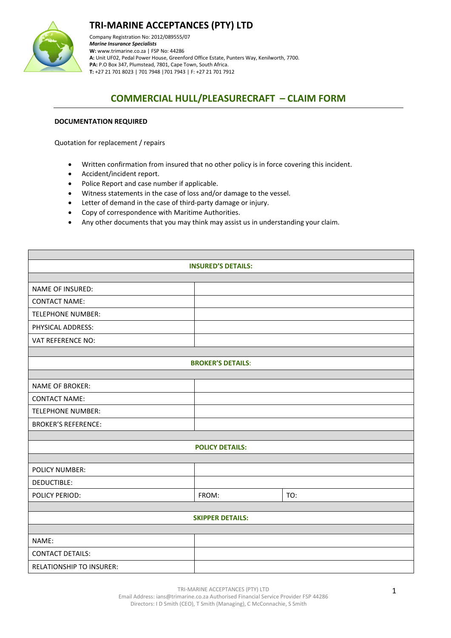

### **TRI-MARINE ACCEPTANCES (PTY) LTD**

Company Registration No: 2012/089555/07 *Marine Insurance Specialists*  **W:** [www.trimarine.co.za](http://www.trimarine.co.za/) | FSP No: 44286 **A:** Unit UF02, Pedal Power House, Greenford Office Estate, Punters Way, Kenilworth, 7700. **PA:** P.O Box 347, Plumstead, 7801, Cape Town, South Africa. **T:** +27 21 701 8023 | 701 7948 |701 7943 | F: +27 21 701 7912

# **COMMERCIAL HULL/PLEASURECRAFT – CLAIM FORM**

#### **DOCUMENTATION REQUIRED**

Quotation for replacement / repairs

- Written confirmation from insured that no other policy is in force covering this incident.
- Accident/incident report.
- Police Report and case number if applicable.
- Witness statements in the case of loss and/or damage to the vessel.
- Letter of demand in the case of third-party damage or injury.
- Copy of correspondence with Maritime Authorities.
- Any other documents that you may think may assist us in understanding your claim.

| <b>INSURED'S DETAILS:</b>       |       |     |  |  |
|---------------------------------|-------|-----|--|--|
|                                 |       |     |  |  |
| NAME OF INSURED:                |       |     |  |  |
| <b>CONTACT NAME:</b>            |       |     |  |  |
| <b>TELEPHONE NUMBER:</b>        |       |     |  |  |
| PHYSICAL ADDRESS:               |       |     |  |  |
| <b>VAT REFERENCE NO:</b>        |       |     |  |  |
|                                 |       |     |  |  |
| <b>BROKER'S DETAILS:</b>        |       |     |  |  |
|                                 |       |     |  |  |
| <b>NAME OF BROKER:</b>          |       |     |  |  |
| <b>CONTACT NAME:</b>            |       |     |  |  |
| <b>TELEPHONE NUMBER:</b>        |       |     |  |  |
| <b>BROKER'S REFERENCE:</b>      |       |     |  |  |
|                                 |       |     |  |  |
| <b>POLICY DETAILS:</b>          |       |     |  |  |
|                                 |       |     |  |  |
| <b>POLICY NUMBER:</b>           |       |     |  |  |
| DEDUCTIBLE:                     |       |     |  |  |
| POLICY PERIOD:                  | FROM: | TO: |  |  |
|                                 |       |     |  |  |
| <b>SKIPPER DETAILS:</b>         |       |     |  |  |
|                                 |       |     |  |  |
| NAME:                           |       |     |  |  |
| <b>CONTACT DETAILS:</b>         |       |     |  |  |
| <b>RELATIONSHIP TO INSURER:</b> |       |     |  |  |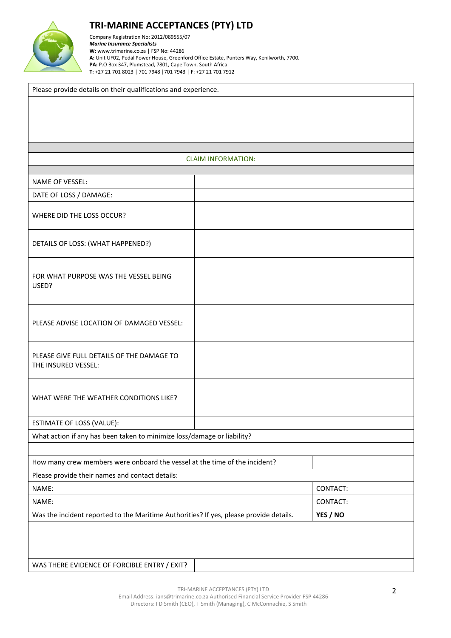

# **TRI-MARINE ACCEPTANCES (PTY) LTD**

Please provide details on their qualifications and experience.

Company Registration No: 2012/089555/07 *Marine Insurance Specialists*  **W:** [www.trimarine.co.za](http://www.trimarine.co.za/) | FSP No: 44286 **A:** Unit UF02, Pedal Power House, Greenford Office Estate, Punters Way, Kenilworth, 7700. **PA:** P.O Box 347, Plumstead, 7801, Cape Town, South Africa. **T:** +27 21 701 8023 | 701 7948 |701 7943 | F: +27 21 701 7912

| <b>CLAIM INFORMATION:</b>                                                              |  |          |  |  |
|----------------------------------------------------------------------------------------|--|----------|--|--|
|                                                                                        |  |          |  |  |
| <b>NAME OF VESSEL:</b>                                                                 |  |          |  |  |
| DATE OF LOSS / DAMAGE:                                                                 |  |          |  |  |
| WHERE DID THE LOSS OCCUR?                                                              |  |          |  |  |
| DETAILS OF LOSS: (WHAT HAPPENED?)                                                      |  |          |  |  |
| FOR WHAT PURPOSE WAS THE VESSEL BEING<br>USED?                                         |  |          |  |  |
| PLEASE ADVISE LOCATION OF DAMAGED VESSEL:                                              |  |          |  |  |
| PLEASE GIVE FULL DETAILS OF THE DAMAGE TO<br>THE INSURED VESSEL:                       |  |          |  |  |
| WHAT WERE THE WEATHER CONDITIONS LIKE?                                                 |  |          |  |  |
| ESTIMATE OF LOSS (VALUE):                                                              |  |          |  |  |
| What action if any has been taken to minimize loss/damage or liability?                |  |          |  |  |
|                                                                                        |  |          |  |  |
| How many crew members were onboard the vessel at the time of the incident?             |  |          |  |  |
| Please provide their names and contact details:                                        |  |          |  |  |
| NAME:                                                                                  |  | CONTACT: |  |  |
| NAME:                                                                                  |  | CONTACT: |  |  |
| Was the incident reported to the Maritime Authorities? If yes, please provide details. |  | YES / NO |  |  |
| WAS THERE EVIDENCE OF FORCIBLE ENTRY / EXIT?                                           |  |          |  |  |
|                                                                                        |  |          |  |  |